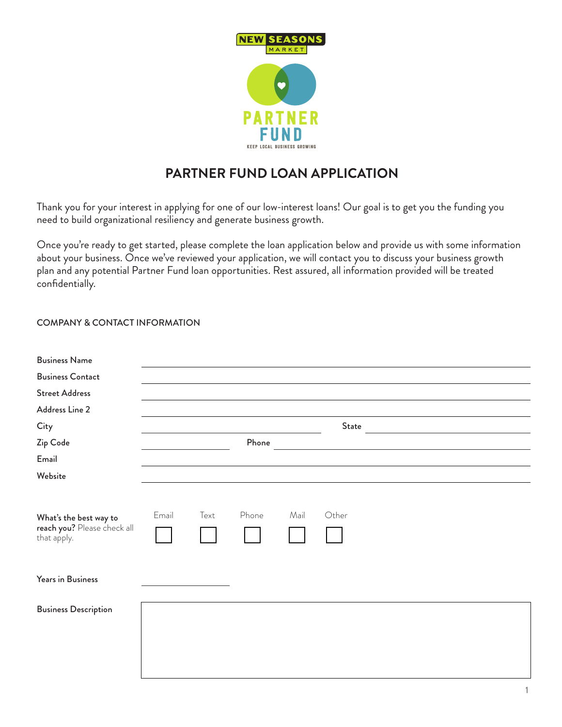

## **PARTNER FUND LOAN APPLICATION**

Thank you for your interest in applying for one of our low-interest loans! Our goal is to get you the funding you need to build organizational resiliency and generate business growth.

Once you're ready to get started, please complete the loan application below and provide us with some information about your business. Once we've reviewed your application, we will contact you to discuss your business growth plan and any potential Partner Fund loan opportunities. Rest assured, all information provided will be treated confidentially.

## COMPANY & CONTACT INFORMATION

| <b>Business Name</b>                                                 |       |      |       |      |                                                                                 |                                               |  |
|----------------------------------------------------------------------|-------|------|-------|------|---------------------------------------------------------------------------------|-----------------------------------------------|--|
| <b>Business Contact</b>                                              |       |      |       |      |                                                                                 |                                               |  |
| <b>Street Address</b>                                                |       |      |       |      |                                                                                 |                                               |  |
| Address Line 2                                                       |       |      |       |      |                                                                                 |                                               |  |
| City                                                                 |       |      |       |      | State                                                                           | <u> 1989 - Johann Stein, fransk politik (</u> |  |
| Zip Code                                                             |       |      | Phone |      | the contract of the contract of the contract of the contract of the contract of |                                               |  |
| Email                                                                |       |      |       |      |                                                                                 |                                               |  |
| Website                                                              |       |      |       |      |                                                                                 |                                               |  |
| What's the best way to<br>reach you? Please check all<br>that apply. | Email | Text | Phone | Mail | Other                                                                           |                                               |  |
| Years in Business                                                    |       |      |       |      |                                                                                 |                                               |  |
| <b>Business Description</b>                                          |       |      |       |      |                                                                                 |                                               |  |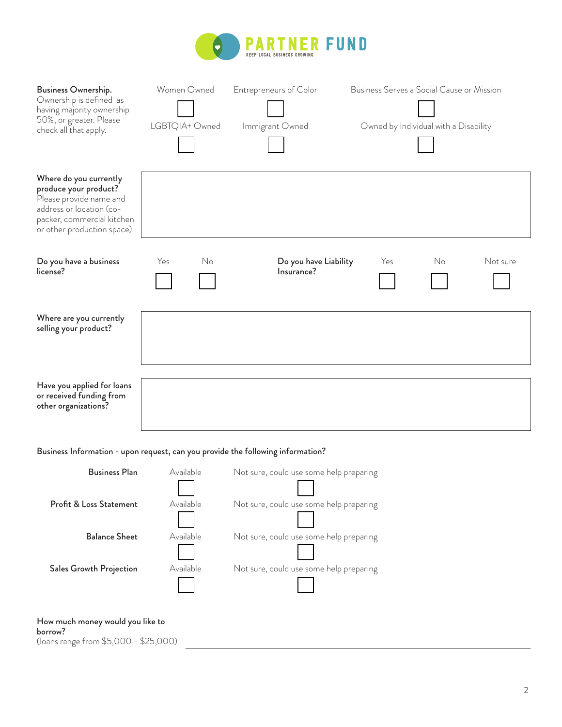

| Business Ownership.<br>Ownership is defined as<br>having majority ownership<br>50%, or greater. Please<br>check all that apply.                                    | Women Owned<br>LGBTQIA+ Owned | <b>Entrepreneurs of Color</b><br>Immigrant Owned | Business Serves a Social Cause or Mission | Owned by Individual with a Disability |          |  |  |
|--------------------------------------------------------------------------------------------------------------------------------------------------------------------|-------------------------------|--------------------------------------------------|-------------------------------------------|---------------------------------------|----------|--|--|
| Where do you currently<br>produce your product?<br>Please provide name and<br>address or location (co-<br>packer, commercial kitchen<br>or other production space) |                               |                                                  |                                           |                                       |          |  |  |
| Do you have a business<br>license?                                                                                                                                 | Yes<br>No                     | Do you have Liability<br>Insurance?              | Yes                                       | No.                                   | Not sure |  |  |
| Where are you currently<br>selling your product?                                                                                                                   |                               |                                                  |                                           |                                       |          |  |  |
| Have you applied for loans<br>or received funding from<br>other organizations?                                                                                     |                               |                                                  |                                           |                                       |          |  |  |
| Business Information - upon request, can you provide the following information?                                                                                    |                               |                                                  |                                           |                                       |          |  |  |
| <b>Business Plan</b>                                                                                                                                               | Available                     | Not sure, could use some help preparing          |                                           |                                       |          |  |  |
| Profit & Loss Statement                                                                                                                                            | Available                     | Not sure, could use some help preparing          |                                           |                                       |          |  |  |
| <b>Balance Sheet</b>                                                                                                                                               | Available                     | Not sure, could use some help preparing          |                                           |                                       |          |  |  |
| <b>Sales Growth Projection</b>                                                                                                                                     | Available                     | Not sure, could use some help preparing          |                                           |                                       |          |  |  |

(loans range from \$5,000 - \$25,000)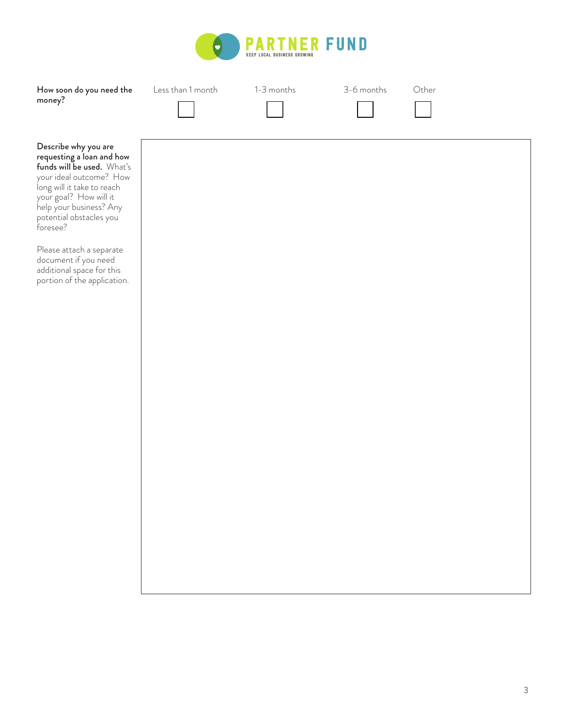

| How soon do you need the<br>money?                                                                                                                                                                                                   | Less than 1 month | 1-3 months | 3-6 months | Other |
|--------------------------------------------------------------------------------------------------------------------------------------------------------------------------------------------------------------------------------------|-------------------|------------|------------|-------|
| Describe why you are<br>requesting a loan and how<br>funds will be used. What's<br>your ideal outcome? How<br>long will it take to reach<br>your goal? How will it<br>help your business? Any<br>potential obstacles you<br>foresee? |                   |            |            |       |
| Please attach a separate<br>document if you need<br>additional space for this<br>portion of the application.                                                                                                                         |                   |            |            |       |
|                                                                                                                                                                                                                                      |                   |            |            |       |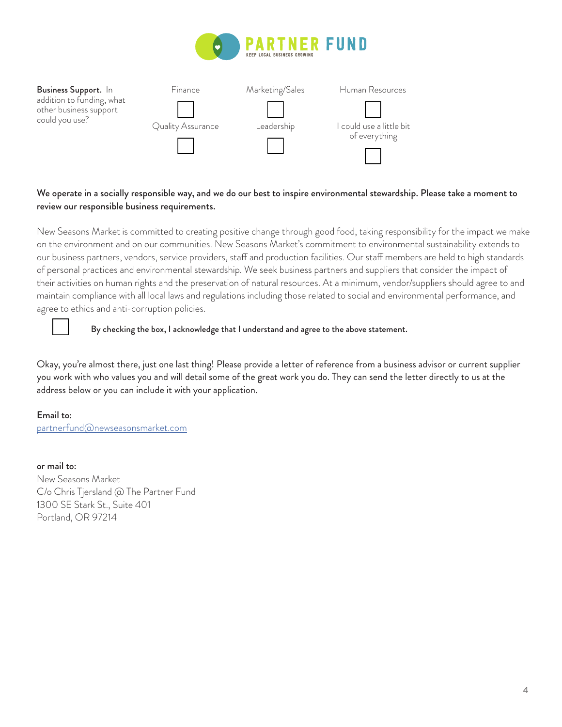



## We operate in a socially responsible way, and we do our best to inspire environmental stewardship. Please take a moment to review our responsible business requirements.

New Seasons Market is committed to creating positive change through good food, taking responsibility for the impact we make on the environment and on our communities. New Seasons Market's commitment to environmental sustainability extends to our business partners, vendors, service providers, staff and production facilities. Our staff members are held to high standards of personal practices and environmental stewardship. We seek business partners and suppliers that consider the impact of their activities on human rights and the preservation of natural resources. At a minimum, vendor/suppliers should agree to and maintain compliance with all local laws and regulations including those related to social and environmental performance, and agree to ethics and anti-corruption policies.



By checking the box, I acknowledge that I understand and agree to the above statement.

Okay, you're almost there, just one last thing! Please provide a letter of reference from a business advisor or current supplier you work with who values you and will detail some of the great work you do. They can send the letter directly to us at the address below or you can include it with your application.

## Email to: partnerfund@newseasonsmarket.com

or mail to: New Seasons Market C/o Chris Tjersland @ The Partner Fund 1300 SE Stark St., Suite 401 Portland, OR 97214